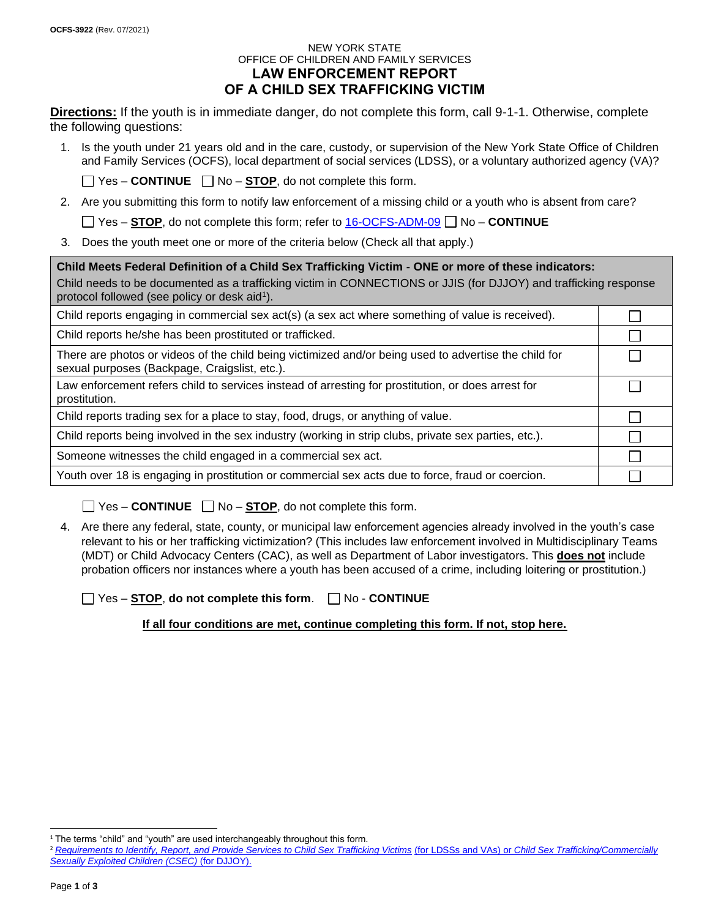### NEW YORK STATE OFFICE OF CHILDREN AND FAMILY SERVICES **LAW ENFORCEMENT REPORT**

# **OF A CHILD SEX TRAFFICKING VICTIM**

**Directions:** If the youth is in immediate danger, do not complete this form, call 9-1-1. Otherwise, complete the following questions:

1. Is the youth under 21 years old and in the care, custody, or supervision of the New York State Office of Children and Family Services (OCFS), local department of social services (LDSS), or a voluntary authorized agency (VA)?

 $\Box$  Yes – **CONTINUE**  $\Box$  No – **STOP**, do not complete this form.

2. Are you submitting this form to notify law enforcement of a missing child or a youth who is absent from care?

■ Yes – **STOP**, do not complete this form; refer to **16-OCFS-ADM-09** ■ No – **CONTINUE** 

3. Does the youth meet one or more of the criteria below (Check all that apply.)

**Child Meets Federal Definition of a Child Sex Trafficking Victim - ONE or more of these indicators:**

Child needs to be documented as a trafficking victim in CONNECTIONS or JJIS (for DJJOY) and trafficking response protocol followed (see policy or desk aid<sup>1</sup>).

> $\Box$ П П

 $\Box$ 

П П  $\Box$ П

Child reports engaging in commercial sex act(s) (a sex act where something of value is received).

Child reports he/she has been prostituted or trafficked.

There are photos or videos of the child being victimized and/or being used to advertise the child for sexual purposes (Backpage, Craigslist, etc.).

Law enforcement refers child to services instead of arresting for prostitution, or does arrest for prostitution.

Child reports trading sex for a place to stay, food, drugs, or anything of value.

Child reports being involved in the sex industry (working in strip clubs, private sex parties, etc.).

Someone witnesses the child engaged in a commercial sex act.

Youth over 18 is engaging in prostitution or commercial sex acts due to force, fraud or coercion.

 $\Box$  Yes – **CONTINUE**  $\Box$  No – **STOP**, do not complete this form.

4. Are there any federal, state, county, or municipal law enforcement agencies already involved in the youth's case relevant to his or her trafficking victimization? (This includes law enforcement involved in Multidisciplinary Teams (MDT) or Child Advocacy Centers (CAC), as well as Department of Labor investigators. This **does not** include probation officers nor instances where a youth has been accused of a crime, including loitering or prostitution.)

Yes – **STOP**, **do not complete this form**.No - **CONTINUE**

**If all four conditions are met, continue completing this form. If not, stop here.**

<sup>&</sup>lt;sup>1</sup> The terms "child" and "youth" are used interchangeably throughout this form.

<sup>&</sup>lt;sup>2</sup> [Requirements to Identify, Report, and Provide Services to Child Sex Trafficking Victims](https://ocfs.ny.gov/main/policies/external/) (for LDSSs and VAs) or Child Sex Trafficking/Commercially *Sexually Exploited Children (CSEC)* (for DJJOY).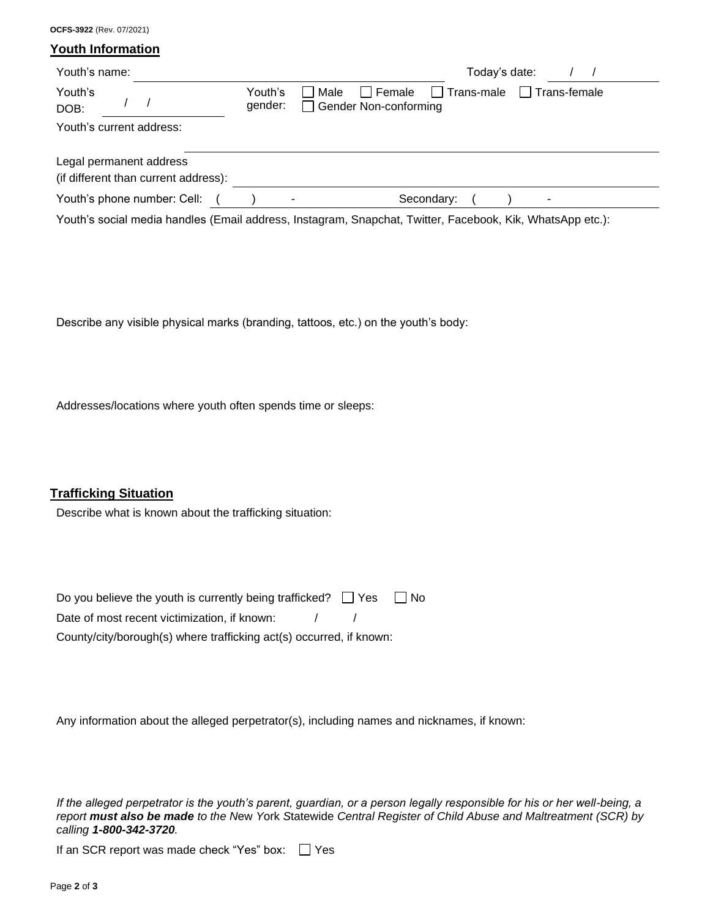**Youth Information** Youth's name:  $\sqrt{2}$  /  $\sqrt{2}$  /  $\sqrt{2}$  /  $\sqrt{2}$  /  $\sqrt{2}$  /  $\sqrt{2}$  /  $\sqrt{2}$  /  $\sqrt{2}$  /  $\sqrt{2}$  /  $\sqrt{2}$  /  $\sqrt{2}$  /  $\sqrt{2}$  /  $\sqrt{2}$  /  $\sqrt{2}$  /  $\sqrt{2}$  /  $\sqrt{2}$  /  $\sqrt{2}$  /  $\sqrt{2}$  /  $\sqrt{2}$  /  $\sqrt{2}$  /  $\sqrt{2}$  Youth's DOB: / / Youth's gender:  $\Box$  Male  $\Box$  Female  $\Box$  Trans-male  $\Box$  Trans-female □ Gender Non-conforming Youth's current address: Legal permanent address (if different than current address): Youth's phone number: Cell: ( ) - Secondary: ( ) -Youth's social media handles (Email address, Instagram, Snapchat, Twitter, Facebook, Kik, WhatsApp etc.):

Describe any visible physical marks (branding, tattoos, etc.) on the youth's body:

Addresses/locations where youth often spends time or sleeps:

## **Trafficking Situation**

**OCFS-3922** (Rev. 07/2021)

Describe what is known about the trafficking situation:

| Do you believe the youth is currently being trafficked? $\Box$ Yes  | l No |
|---------------------------------------------------------------------|------|
| Date of most recent victimization, if known:                        |      |
| County/city/borough(s) where trafficking act(s) occurred, if known: |      |

Any information about the alleged perpetrator(s), including names and nicknames, if known:

*If the alleged perpetrator is the youth's parent, guardian, or a person legally responsible for his or her well-being, a report must also be made to the N*ew *Y*ork *S*tatewide *Central Register of Child Abuse and Maltreatment (SCR) by calling 1-800-342-3720.*

If an SCR report was made check "Yes" box:  $\Box$  Yes